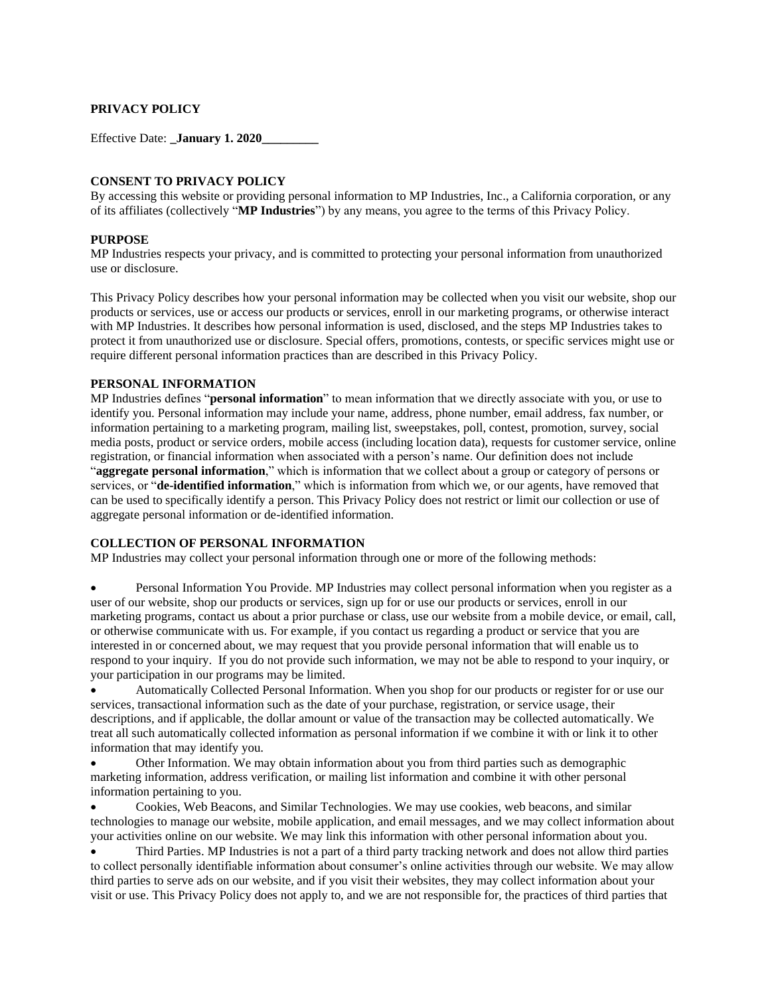## **PRIVACY POLICY**

Effective Date: **\_January 1. 2020\_\_\_\_\_\_\_\_\_**

## **CONSENT TO PRIVACY POLICY**

By accessing this website or providing personal information to MP Industries, Inc., a California corporation, or any of its affiliates (collectively "**MP Industries**") by any means, you agree to the terms of this Privacy Policy.

### **PURPOSE**

MP Industries respects your privacy, and is committed to protecting your personal information from unauthorized use or disclosure.

This Privacy Policy describes how your personal information may be collected when you visit our website, shop our products or services, use or access our products or services, enroll in our marketing programs, or otherwise interact with MP Industries. It describes how personal information is used, disclosed, and the steps MP Industries takes to protect it from unauthorized use or disclosure. Special offers, promotions, contests, or specific services might use or require different personal information practices than are described in this Privacy Policy.

### **PERSONAL INFORMATION**

MP Industries defines "**personal information**" to mean information that we directly associate with you, or use to identify you. Personal information may include your name, address, phone number, email address, fax number, or information pertaining to a marketing program, mailing list, sweepstakes, poll, contest, promotion, survey, social media posts, product or service orders, mobile access (including location data), requests for customer service, online registration, or financial information when associated with a person's name. Our definition does not include "**aggregate personal information**," which is information that we collect about a group or category of persons or services, or "**de-identified information**," which is information from which we, or our agents, have removed that can be used to specifically identify a person. This Privacy Policy does not restrict or limit our collection or use of aggregate personal information or de-identified information.

## **COLLECTION OF PERSONAL INFORMATION**

MP Industries may collect your personal information through one or more of the following methods:

• Personal Information You Provide. MP Industries may collect personal information when you register as a user of our website, shop our products or services, sign up for or use our products or services, enroll in our marketing programs, contact us about a prior purchase or class, use our website from a mobile device, or email, call, or otherwise communicate with us. For example, if you contact us regarding a product or service that you are interested in or concerned about, we may request that you provide personal information that will enable us to respond to your inquiry. If you do not provide such information, we may not be able to respond to your inquiry, or your participation in our programs may be limited.

• Automatically Collected Personal Information. When you shop for our products or register for or use our services, transactional information such as the date of your purchase, registration, or service usage, their descriptions, and if applicable, the dollar amount or value of the transaction may be collected automatically. We treat all such automatically collected information as personal information if we combine it with or link it to other information that may identify you.

• Other Information. We may obtain information about you from third parties such as demographic marketing information, address verification, or mailing list information and combine it with other personal information pertaining to you.

• Cookies, Web Beacons, and Similar Technologies. We may use cookies, web beacons, and similar technologies to manage our website, mobile application, and email messages, and we may collect information about your activities online on our website. We may link this information with other personal information about you.

• Third Parties. MP Industries is not a part of a third party tracking network and does not allow third parties to collect personally identifiable information about consumer's online activities through our website. We may allow third parties to serve ads on our website, and if you visit their websites, they may collect information about your visit or use. This Privacy Policy does not apply to, and we are not responsible for, the practices of third parties that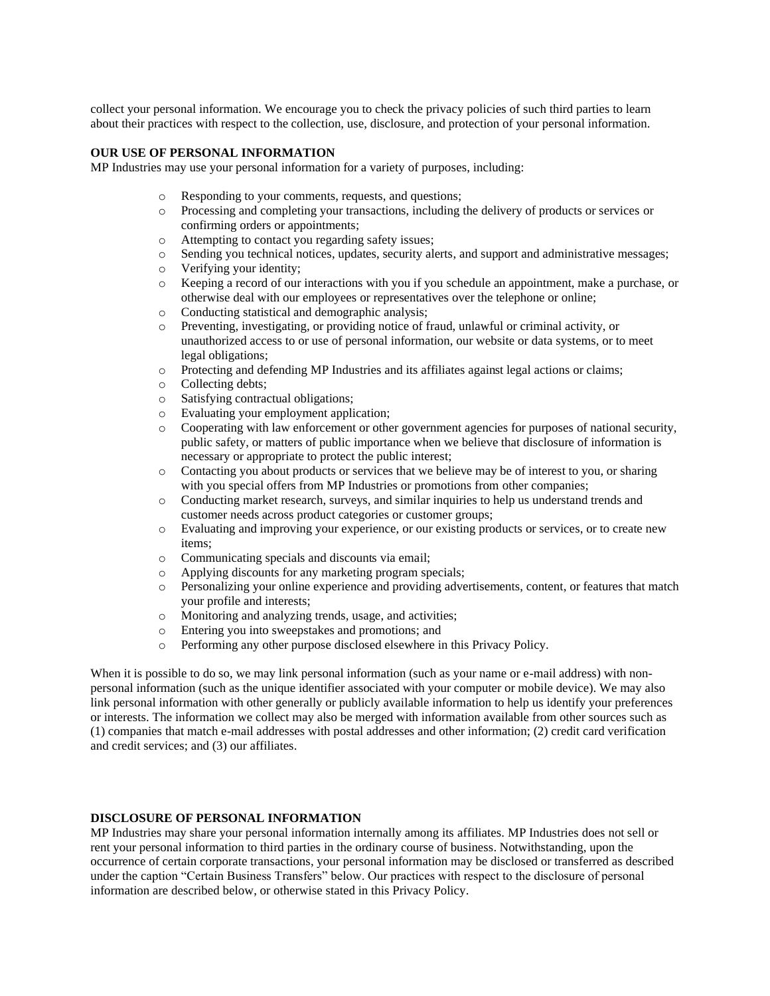collect your personal information. We encourage you to check the privacy policies of such third parties to learn about their practices with respect to the collection, use, disclosure, and protection of your personal information.

## **OUR USE OF PERSONAL INFORMATION**

MP Industries may use your personal information for a variety of purposes, including:

- o Responding to your comments, requests, and questions;
- o Processing and completing your transactions, including the delivery of products or services or confirming orders or appointments;
- o Attempting to contact you regarding safety issues;
- o Sending you technical notices, updates, security alerts, and support and administrative messages;
- o Verifying your identity;
- o Keeping a record of our interactions with you if you schedule an appointment, make a purchase, or otherwise deal with our employees or representatives over the telephone or online;
- o Conducting statistical and demographic analysis;
- o Preventing, investigating, or providing notice of fraud, unlawful or criminal activity, or unauthorized access to or use of personal information, our website or data systems, or to meet legal obligations;
- o Protecting and defending MP Industries and its affiliates against legal actions or claims;
- o Collecting debts;
- o Satisfying contractual obligations;
- o Evaluating your employment application;
- o Cooperating with law enforcement or other government agencies for purposes of national security, public safety, or matters of public importance when we believe that disclosure of information is necessary or appropriate to protect the public interest;
- o Contacting you about products or services that we believe may be of interest to you, or sharing with you special offers from MP Industries or promotions from other companies;
- o Conducting market research, surveys, and similar inquiries to help us understand trends and customer needs across product categories or customer groups;
- o Evaluating and improving your experience, or our existing products or services, or to create new items;
- o Communicating specials and discounts via email;
- o Applying discounts for any marketing program specials;
- o Personalizing your online experience and providing advertisements, content, or features that match your profile and interests;
- o Monitoring and analyzing trends, usage, and activities;
- o Entering you into sweepstakes and promotions; and
- o Performing any other purpose disclosed elsewhere in this Privacy Policy.

When it is possible to do so, we may link personal information (such as your name or e-mail address) with nonpersonal information (such as the unique identifier associated with your computer or mobile device). We may also link personal information with other generally or publicly available information to help us identify your preferences or interests. The information we collect may also be merged with information available from other sources such as (1) companies that match e-mail addresses with postal addresses and other information; (2) credit card verification and credit services; and (3) our affiliates.

### **DISCLOSURE OF PERSONAL INFORMATION**

MP Industries may share your personal information internally among its affiliates. MP Industries does not sell or rent your personal information to third parties in the ordinary course of business. Notwithstanding, upon the occurrence of certain corporate transactions, your personal information may be disclosed or transferred as described under the caption "Certain Business Transfers" below. Our practices with respect to the disclosure of personal information are described below, or otherwise stated in this Privacy Policy.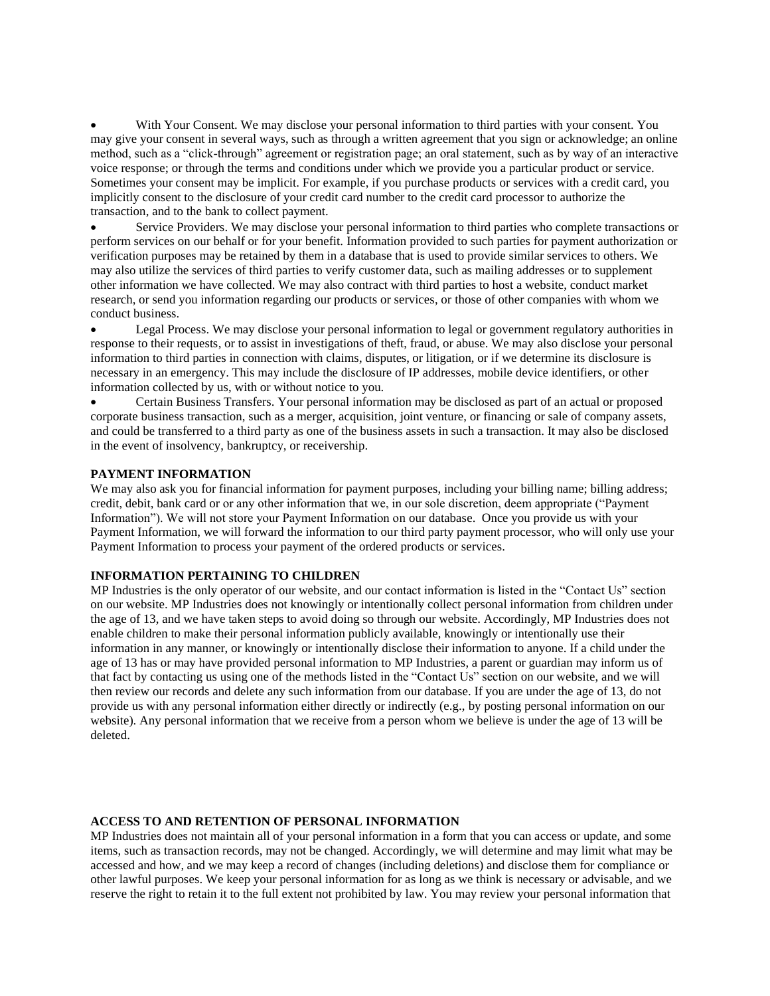• With Your Consent. We may disclose your personal information to third parties with your consent. You may give your consent in several ways, such as through a written agreement that you sign or acknowledge; an online method, such as a "click-through" agreement or registration page; an oral statement, such as by way of an interactive voice response; or through the terms and conditions under which we provide you a particular product or service. Sometimes your consent may be implicit. For example, if you purchase products or services with a credit card, you implicitly consent to the disclosure of your credit card number to the credit card processor to authorize the transaction, and to the bank to collect payment.

• Service Providers. We may disclose your personal information to third parties who complete transactions or perform services on our behalf or for your benefit. Information provided to such parties for payment authorization or verification purposes may be retained by them in a database that is used to provide similar services to others. We may also utilize the services of third parties to verify customer data, such as mailing addresses or to supplement other information we have collected. We may also contract with third parties to host a website, conduct market research, or send you information regarding our products or services, or those of other companies with whom we conduct business.

• Legal Process. We may disclose your personal information to legal or government regulatory authorities in response to their requests, or to assist in investigations of theft, fraud, or abuse. We may also disclose your personal information to third parties in connection with claims, disputes, or litigation, or if we determine its disclosure is necessary in an emergency. This may include the disclosure of IP addresses, mobile device identifiers, or other information collected by us, with or without notice to you.

• Certain Business Transfers. Your personal information may be disclosed as part of an actual or proposed corporate business transaction, such as a merger, acquisition, joint venture, or financing or sale of company assets, and could be transferred to a third party as one of the business assets in such a transaction. It may also be disclosed in the event of insolvency, bankruptcy, or receivership.

### **PAYMENT INFORMATION**

We may also ask you for financial information for payment purposes, including your billing name; billing address; credit, debit, bank card or or any other information that we, in our sole discretion, deem appropriate ("Payment Information"). We will not store your Payment Information on our database. Once you provide us with your Payment Information, we will forward the information to our third party payment processor, who will only use your Payment Information to process your payment of the ordered products or services.

# **INFORMATION PERTAINING TO CHILDREN**

MP Industries is the only operator of our website, and our contact information is listed in the "Contact Us" section on our website. MP Industries does not knowingly or intentionally collect personal information from children under the age of 13, and we have taken steps to avoid doing so through our website. Accordingly, MP Industries does not enable children to make their personal information publicly available, knowingly or intentionally use their information in any manner, or knowingly or intentionally disclose their information to anyone. If a child under the age of 13 has or may have provided personal information to MP Industries, a parent or guardian may inform us of that fact by contacting us using one of the methods listed in the "Contact Us" section on our website, and we will then review our records and delete any such information from our database. If you are under the age of 13, do not provide us with any personal information either directly or indirectly (e.g., by posting personal information on our website). Any personal information that we receive from a person whom we believe is under the age of 13 will be deleted.

#### **ACCESS TO AND RETENTION OF PERSONAL INFORMATION**

MP Industries does not maintain all of your personal information in a form that you can access or update, and some items, such as transaction records, may not be changed. Accordingly, we will determine and may limit what may be accessed and how, and we may keep a record of changes (including deletions) and disclose them for compliance or other lawful purposes. We keep your personal information for as long as we think is necessary or advisable, and we reserve the right to retain it to the full extent not prohibited by law. You may review your personal information that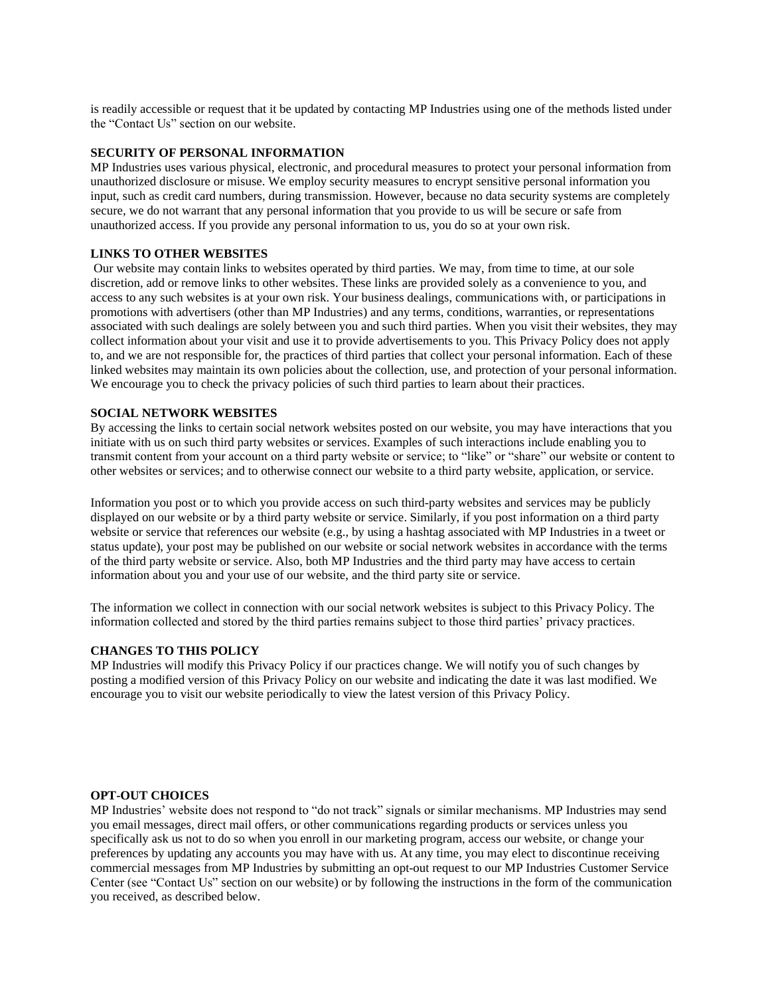is readily accessible or request that it be updated by contacting MP Industries using one of the methods listed under the "Contact Us" section on our website.

### **SECURITY OF PERSONAL INFORMATION**

MP Industries uses various physical, electronic, and procedural measures to protect your personal information from unauthorized disclosure or misuse. We employ security measures to encrypt sensitive personal information you input, such as credit card numbers, during transmission. However, because no data security systems are completely secure, we do not warrant that any personal information that you provide to us will be secure or safe from unauthorized access. If you provide any personal information to us, you do so at your own risk.

### **LINKS TO OTHER WEBSITES**

Our website may contain links to websites operated by third parties. We may, from time to time, at our sole discretion, add or remove links to other websites. These links are provided solely as a convenience to you, and access to any such websites is at your own risk. Your business dealings, communications with, or participations in promotions with advertisers (other than MP Industries) and any terms, conditions, warranties, or representations associated with such dealings are solely between you and such third parties. When you visit their websites, they may collect information about your visit and use it to provide advertisements to you. This Privacy Policy does not apply to, and we are not responsible for, the practices of third parties that collect your personal information. Each of these linked websites may maintain its own policies about the collection, use, and protection of your personal information. We encourage you to check the privacy policies of such third parties to learn about their practices.

### **SOCIAL NETWORK WEBSITES**

By accessing the links to certain social network websites posted on our website, you may have interactions that you initiate with us on such third party websites or services. Examples of such interactions include enabling you to transmit content from your account on a third party website or service; to "like" or "share" our website or content to other websites or services; and to otherwise connect our website to a third party website, application, or service.

Information you post or to which you provide access on such third-party websites and services may be publicly displayed on our website or by a third party website or service. Similarly, if you post information on a third party website or service that references our website (e.g., by using a hashtag associated with MP Industries in a tweet or status update), your post may be published on our website or social network websites in accordance with the terms of the third party website or service. Also, both MP Industries and the third party may have access to certain information about you and your use of our website, and the third party site or service.

The information we collect in connection with our social network websites is subject to this Privacy Policy. The information collected and stored by the third parties remains subject to those third parties' privacy practices.

### **CHANGES TO THIS POLICY**

MP Industries will modify this Privacy Policy if our practices change. We will notify you of such changes by posting a modified version of this Privacy Policy on our website and indicating the date it was last modified. We encourage you to visit our website periodically to view the latest version of this Privacy Policy.

### **OPT-OUT CHOICES**

MP Industries' website does not respond to "do not track" signals or similar mechanisms. MP Industries may send you email messages, direct mail offers, or other communications regarding products or services unless you specifically ask us not to do so when you enroll in our marketing program, access our website, or change your preferences by updating any accounts you may have with us. At any time, you may elect to discontinue receiving commercial messages from MP Industries by submitting an opt-out request to our MP Industries Customer Service Center (see "Contact Us" section on our website) or by following the instructions in the form of the communication you received, as described below.